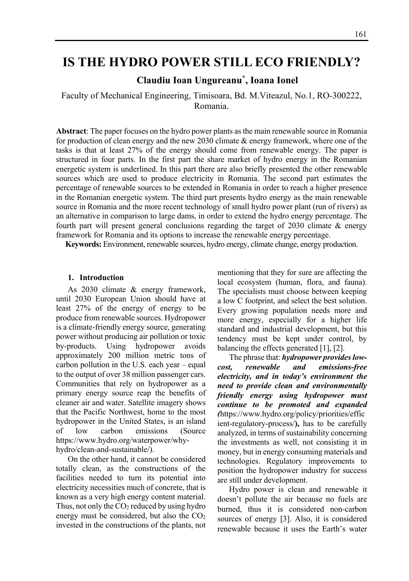# **IS THE HYDRO POWER STILL ECO FRIENDLY?**

## **Claudiu Ioan Ungureanu\* , Ioana Ionel**

Faculty of Mechanical Engineering, Timisoara, Bd. M.Viteazul, No.1, RO-300222, Romania.

**Abstract**: The paper focuses on the hydro power plants as the main renewable source in Romania for production of clean energy and the new 2030 climate & energy framework, where one of the tasks is that at least 27% of the energy should come from renewable energy. The paper is structured in four parts. In the first part the share market of hydro energy in the Romanian energetic system is underlined. In this part there are also briefly presented the other renewable sources which are used to produce electricity in Romania. The second part estimates the percentage of renewable sources to be extended in Romania in order to reach a higher presence in the Romanian energetic system. The third part presents hydro energy as the main renewable source in Romania and the more recent technology of small hydro power plant (run of rivers) as an alternative in comparison to large dams, in order to extend the hydro energy percentage. The fourth part will present general conclusions regarding the target of 2030 climate & energy framework for Romania and its options to increase the renewable energy percentage.

**Keywords:** Environment, renewable sources, hydro energy, climate change, energy production.

#### **1. Introduction**

As 2030 climate & energy framework, until 2030 European Union should have at least 27% of the energy of energy to be produce from renewable sources. Hydropower is a climate-friendly energy source, generating power without producing air pollution or toxic by-products. Using hydropower avoids approximately 200 million metric tons of carbon pollution in the U.S. each year – equal to the output of over 38 million passenger cars. Communities that rely on hydropower as a primary energy source reap the benefits of cleaner air and water. Satellite imagery shows that the Pacific Northwest, home to the most hydropower in the United States, is an island of low carbon emissions (Source https://www.hydro.org/waterpower/whyhydro/clean-and-sustainable/).

On the other hand, it cannot be considered totally clean, as the constructions of the facilities needed to turn its potential into electricity necessities much of concrete, that is known as a very high energy content material. Thus, not only the  $CO<sub>2</sub>$  reduced by using hydro energy must be considered, but also the  $CO<sub>2</sub>$ invested in the constructions of the plants, not mentioning that they for sure are affecting the local ecosystem (human, flora, and fauna). The specialists must choose between keeping a low C footprint, and select the best solution. Every growing population needs more and more energy, especially for a higher life standard and industrial development, but this tendency must be kept under control, by balancing the effects generated [1], [2].

The phrase that: *hydropower provides lowcost, renewable and emissions-free electricity, and in today's environment the need to provide clean and environmentally friendly energy using hydropower must continue to be promoted and expanded (*https://www.hydro.org/policy/priorities/effic ient-regulatory-process/**),** has to be carefully analyzed, in terms of sustainability concerning the investments as well, not consisting it in money, but in energy consuming materials and technologies. Regulatory improvements to position the hydropower industry for success are still under development.

Hydro power is clean and renewable it doesn't pollute the air because no fuels are burned, thus it is considered non-carbon sources of energy [3]. Also, it is considered renewable because it uses the Earth's water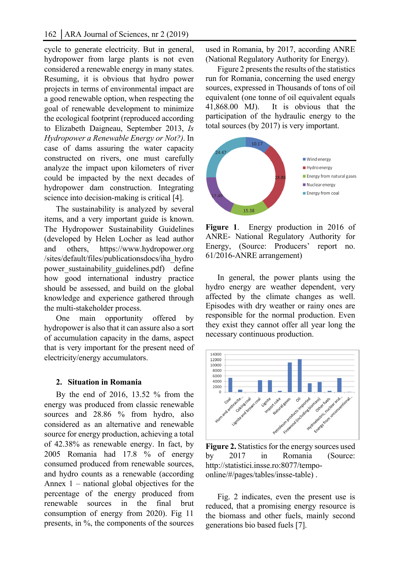cycle to generate electricity. But in general, hydropower from large plants is not even considered a renewable energy in many states. Resuming, it is obvious that hydro power projects in terms of environmental impact are a good renewable option, when respecting the goal of renewable development to minimize the ecological footprint (reproduced according to Elizabeth Daigneau, September 2013, *Is Hydropower a Renewable Energy or Not?)*. In case of dams assuring the water capacity constructed on rivers, one must carefully analyze the impact upon kilometers of river could be impacted by the next decades of hydropower dam construction. Integrating science into decision-making is critical [4].

The sustainability is analyzed by several items, and a very important guide is known. The Hydropower Sustainability Guidelines (developed by Helen Locher as lead author and others, https://www.hydropower.org /sites/default/files/publicationsdocs/iha\_hydro power sustainability guidelines.pdf) define how good international industry practice should be assessed, and build on the global knowledge and experience gathered through the multi-stakeholder process.

One main opportunity offered by hydropower is also that it can assure also a sort of accumulation capacity in the dams, aspect that is very important for the present need of electricity/energy accumulators.

### **2. Situation in Romania**

By the end of 2016, 13.52 % from the energy was produced from classic renewable sources and 28.86 % from hydro, also considered as an alternative and renewable source for energy production, achieving a total of 42.38% as renewable energy. In fact, by 2005 Romania had 17.8 % of energy consumed produced from renewable sources, and hydro counts as a renewable (according Annex 1 – national global objectives for the percentage of the energy produced from renewable sources in the final brut consumption of energy from 2020). Fig 11 presents, in %, the components of the sources

used in Romania, by 2017, according ANRE (National Regulatory Authority for Energy).

Figure 2 presents the results of the statistics run for Romania, concerning the used energy sources, expressed in Thousands of tons of oil equivalent (one tonne of oil equivalent equals 41,868.00 MJ). It is obvious that the participation of the hydraulic energy to the total sources (by 2017) is very important.



**Figure 1**. Energy production in 2016 of ANRE- National Regulatory Authority for Energy, (Source: Producers' report no. 61/2016-ANRE arrangement)

In general, the power plants using the hydro energy are weather dependent, very affected by the climate changes as well. Episodes with dry weather or rainy ones are responsible for the normal production. Even they exist they cannot offer all year long the necessary continuous production.



**Figure 2.** Statistics for the energy sources used by 2017 in Romania (Source: http://statistici.insse.ro:8077/tempoonline/#/pages/tables/insse-table) .

Fig. 2 indicates, even the present use is reduced, that a promising energy resource is the biomass and other fuels, mainly second generations bio based fuels [7].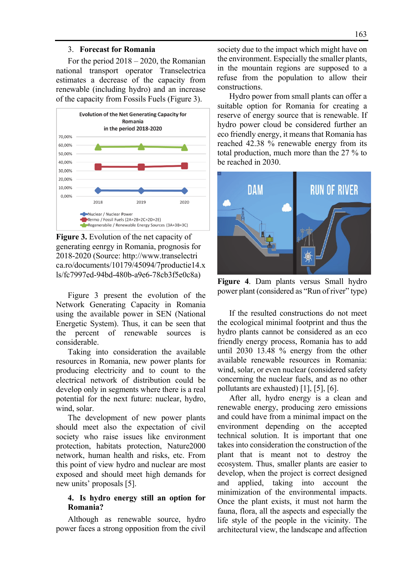#### 3. **Forecast for Romania**

For the period 2018 – 2020, the Romanian national transport operator Transelectrica estimates a decrease of the capacity from renewable (including hydro) and an increase of the capacity from Fossils Fuels (Figure 3).



**Figure 3.** Evolution of the net capacity of generating eenrgy in Romania, prognosis for 2018-2020 (Source: http://www.transelectri ca.ro/documents/10179/45094/7productie14.x ls/fc7997ed-94bd-480b-a9e6-78cb3f5e0c8a)

Figure 3 present the evolution of the Network Generating Capacity in Romania using the available power in SEN (National Energetic System). Thus, it can be seen that the percent of renewable sources is considerable.

Taking into consideration the available resources in Romania, new power plants for producing electricity and to count to the electrical network of distribution could be develop only in segments where there is a real potential for the next future: nuclear, hydro, wind, solar.

The development of new power plants should meet also the expectation of civil society who raise issues like environment protection, habitats protection, Nature2000 network, human health and risks, etc. From this point of view hydro and nuclear are most exposed and should meet high demands for new units' proposals [5].

## **4. Is hydro energy still an option for Romania?**

Although as renewable source, hydro power faces a strong opposition from the civil society due to the impact which might have on the environment. Especially the smaller plants, in the mountain regions are supposed to a refuse from the population to allow their constructions.

Hydro power from small plants can offer a suitable option for Romania for creating a reserve of energy source that is renewable. If hydro power cloud be considered further an eco friendly energy, it means that Romania has reached 42.38 % renewable energy from its total production, much more than the 27 % to be reached in 2030.



**Figure 4**. Dam plants versus Small hydro power plant (considered as "Run of river" type)

If the resulted constructions do not meet the ecological minimal footprint and thus the hydro plants cannot be considered as an eco friendly energy process, Romania has to add until 2030 13.48 % energy from the other available renewable resources in Romania: wind, solar, or even nuclear (considered safety concerning the nuclear fuels, and as no other pollutants are exhausted) [1], [5], [6].

After all, hydro energy is a clean and renewable energy, producing zero emissions and could have from a minimal impact on the environment depending on the accepted technical solution. It is important that one takes into consideration the construction of the plant that is meant not to destroy the ecosystem. Thus, smaller plants are easier to develop, when the project is correct designed and applied, taking into account the minimization of the environmental impacts. Once the plant exists, it must not harm the fauna, flora, all the aspects and especially the life style of the people in the vicinity. The architectural view, the landscape and affection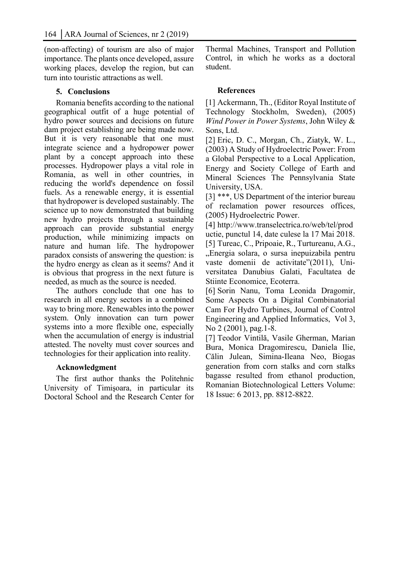(non-affecting) of tourism are also of major importance. The plants once developed, assure working places, develop the region, but can turn into touristic attractions as well.

## **5. Conclusions**

Romania benefits according to the national geographical outfit of a huge potential of hydro power sources and decisions on future dam project establishing are being made now. But it is very reasonable that one must integrate science and a hydropower power plant by a concept approach into these processes. Hydropower plays a vital role in Romania, as well in other countries, in reducing the world's dependence on fossil fuels. As a renewable energy, it is essential that hydropower is developed sustainably. The science up to now demonstrated that building new hydro projects through a sustainable approach can provide substantial energy production, while minimizing impacts on nature and human life. The hydropower paradox consists of answering the question: is the hydro energy as clean as it seems? And it is obvious that progress in the next future is needed, as much as the source is needed.

The authors conclude that one has to research in all energy sectors in a combined way to bring more. Renewables into the power system. Only innovation can turn power systems into a more flexible one, especially when the accumulation of energy is industrial attested. The novelty must cover sources and technologies for their application into reality.

#### **Acknowledgment**

The first author thanks the Politehnic University of Timişoara, in particular its Doctoral School and the Research Center for Thermal Machines, Transport and Pollution Control, in which he works as a doctoral student.

## **References**

[1] Ackermann, Th., (Editor Royal Institute of Technology Stockholm, Sweden), (2005) *Wind Power in Power Systems*, John Wiley & Sons, Ltd.

[2] Eric, D. C., Morgan, Ch., Ziatyk, W. L., (2003) A Study of Hydroelectric Power: From a Global Perspective to a Local Application, Energy and Society College of Earth and Mineral Sciences The Pennsylvania State University, USA.

[3] \*\*\*, US Department of the interior bureau of reclamation power resources offices, (2005) Hydroelectric Power.

[4] http://www.transelectrica.ro/web/tel/prod uctie, punctul 14, date culese la 17 Mai 2018. [5] Tureac, C., Pripoaie, R., Turtureanu, A.G., "Energia solara, o sursa inepuizabila pentru vaste domenii de activitate"(2011), Universitatea Danubius Galati, Facultatea de Stiinte Economice, Ecoterra.

[6] Sorin Nanu, Toma Leonida Dragomir, Some Aspects On a Digital Combinatorial Cam For Hydro Turbines, Journal of Control Engineering and Applied Informatics, Vol 3, No 2 (2001), pag.1-8.

[7] Teodor Vintilă, Vasile Gherman, Marian Bura, Monica Dragomirescu, Daniela Ilie, Călin Julean, Simina-Ileana Neo, Biogas generation from corn stalks and corn stalks bagasse resulted from ethanol production, Romanian Biotechnological Letters Volume: 18 Issue: 6 2013, pp. 8812-8822.